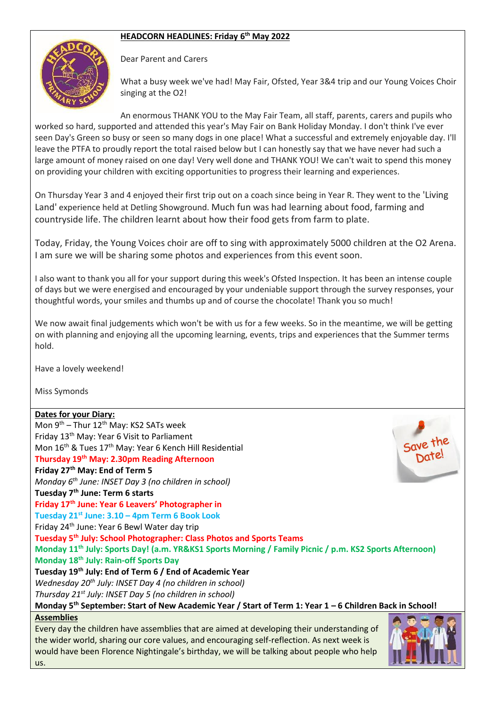## **HEADCORN HEADLINES: Friday 6 th May 2022**



Dear Parent and Carers

What a busy week we've had! May Fair, Ofsted, Year 3&4 trip and our Young Voices Choir singing at the O2!

An enormous THANK YOU to the May Fair Team, all staff, parents, carers and pupils who worked so hard, supported and attended this year's May Fair on Bank Holiday Monday. I don't think I've ever seen Day's Green so busy or seen so many dogs in one place! What a successful and extremely enjoyable day. I'll leave the PTFA to proudly report the total raised below but I can honestly say that we have never had such a large amount of money raised on one day! Very well done and THANK YOU! We can't wait to spend this money on providing your children with exciting opportunities to progress their learning and experiences.

On Thursday Year 3 and 4 enjoyed their first trip out on a coach since being in Year R. They went to the 'Living Land' experience held at Detling Showground. Much fun was had learning about food, farming and countryside life. The children learnt about how their food gets from farm to plate.

Today, Friday, the Young Voices choir are off to sing with approximately 5000 children at the O2 Arena. I am sure we will be sharing some photos and experiences from this event soon.

I also want to thank you all for your support during this week's Ofsted Inspection. It has been an intense couple of days but we were energised and encouraged by your undeniable support through the survey responses, your thoughtful words, your smiles and thumbs up and of course the chocolate! Thank you so much!

We now await final judgements which won't be with us for a few weeks. So in the meantime, we will be getting on with planning and enjoying all the upcoming learning, events, trips and experiences that the Summer terms hold.

Have a lovely weekend!

Miss Symonds

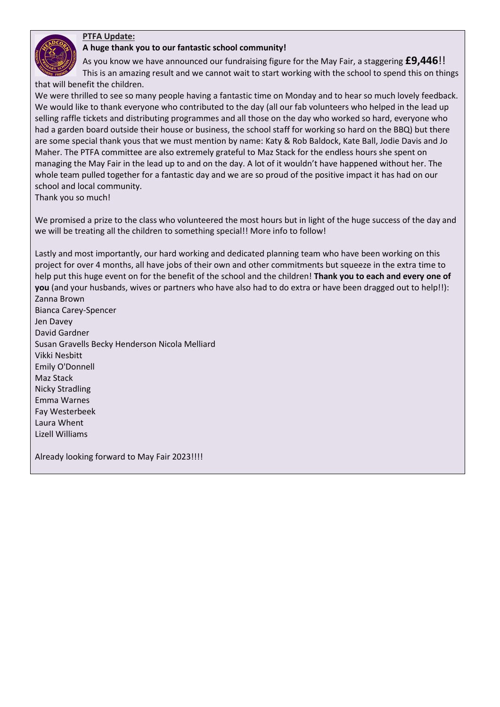## **PTFA Update:**

## **A huge thank you to our fantastic school community!**

As you know we have announced our fundraising figure for the May Fair, a staggering **£9,446**!!

This is an amazing result and we cannot wait to start working with the school to spend this on things that will benefit the children.

We were thrilled to see so many people having a fantastic time on Monday and to hear so much lovely feedback. We would like to thank everyone who contributed to the day (all our fab volunteers who helped in the lead up selling raffle tickets and distributing programmes and all those on the day who worked so hard, everyone who had a garden board outside their house or business, the school staff for working so hard on the BBQ) but there are some special thank yous that we must mention by name: Katy & Rob Baldock, Kate Ball, Jodie Davis and Jo Maher. The PTFA committee are also extremely grateful to Maz Stack for the endless hours she spent on managing the May Fair in the lead up to and on the day. A lot of it wouldn't have happened without her. The whole team pulled together for a fantastic day and we are so proud of the positive impact it has had on our school and local community.

Thank you so much!

We promised a prize to the class who volunteered the most hours but in light of the huge success of the day and we will be treating all the children to something special!! More info to follow!

Lastly and most importantly, our hard working and dedicated planning team who have been working on this project for over 4 months, all have jobs of their own and other commitments but squeeze in the extra time to help put this huge event on for the benefit of the school and the children! **Thank you to each and every one of you** (and your husbands, wives or partners who have also had to do extra or have been dragged out to help!!): Zanna Brown

Bianca Carey-Spencer Jen Davey David Gardner Susan Gravells Becky Henderson Nicola Melliard Vikki Nesbitt Emily O'Donnell Maz Stack Nicky Stradling Emma Warnes Fay Westerbeek Laura Whent Lizell Williams

Already looking forward to May Fair 2023!!!!